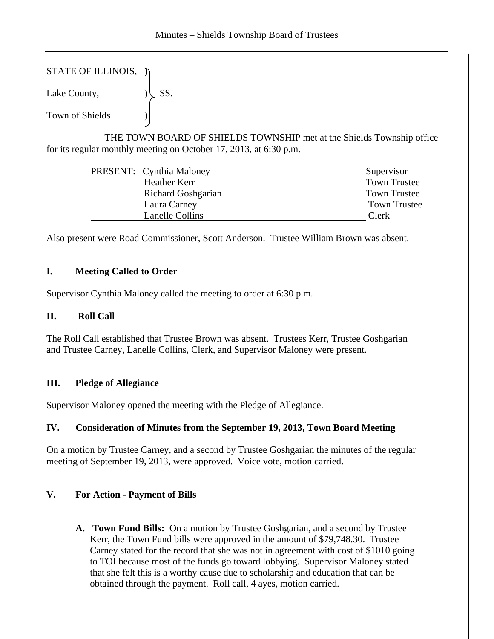STATE OF ILLINOIS,  $\tilde{y}$ 

Lake County,  $|\text{SS}|$ .

Town of Shields )

 THE TOWN BOARD OF SHIELDS TOWNSHIP met at the Shields Township office for its regular monthly meeting on October 17, 2013, at 6:30 p.m.

|  | <b>PRESENT:</b> Cynthia Maloney | Supervisor          |
|--|---------------------------------|---------------------|
|  | Heather Kerr                    | <b>Town Trustee</b> |
|  | <b>Richard Goshgarian</b>       | <b>Town Trustee</b> |
|  | Laura Carney                    | Town Trustee        |
|  | Lanelle Collins                 | Clerk               |
|  |                                 |                     |

Also present were Road Commissioner, Scott Anderson. Trustee William Brown was absent.

# **I. Meeting Called to Order**

Supervisor Cynthia Maloney called the meeting to order at 6:30 p.m.

# **II. Roll Call**

The Roll Call established that Trustee Brown was absent. Trustees Kerr, Trustee Goshgarian and Trustee Carney, Lanelle Collins, Clerk, and Supervisor Maloney were present.

# **III. Pledge of Allegiance**

Supervisor Maloney opened the meeting with the Pledge of Allegiance.

### **IV. Consideration of Minutes from the September 19, 2013, Town Board Meeting**

On a motion by Trustee Carney, and a second by Trustee Goshgarian the minutes of the regular meeting of September 19, 2013, were approved. Voice vote, motion carried.

# **V. For Action - Payment of Bills**

**A. Town Fund Bills:** On a motion by Trustee Goshgarian, and a second by Trustee Kerr, the Town Fund bills were approved in the amount of \$79,748.30. Trustee Carney stated for the record that she was not in agreement with cost of \$1010 going to TOI because most of the funds go toward lobbying. Supervisor Maloney stated that she felt this is a worthy cause due to scholarship and education that can be obtained through the payment. Roll call, 4 ayes, motion carried.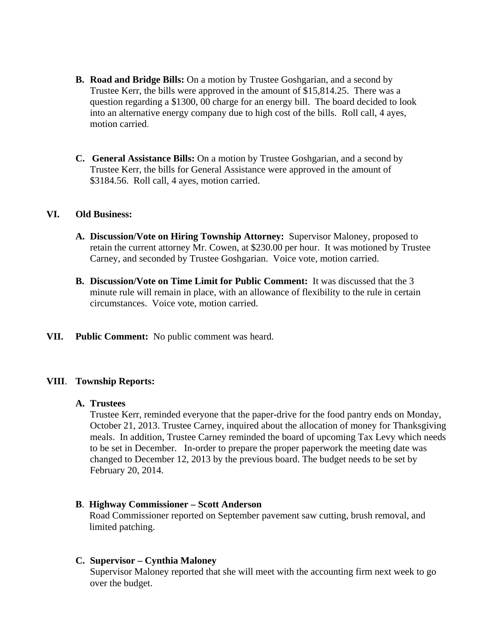- **B. Road and Bridge Bills:** On a motion by Trustee Goshgarian, and a second by Trustee Kerr, the bills were approved in the amount of \$15,814.25. There was a question regarding a \$1300, 00 charge for an energy bill. The board decided to look into an alternative energy company due to high cost of the bills. Roll call, 4 ayes, motion carried.
- **C. General Assistance Bills:** On a motion by Trustee Goshgarian, and a second by Trustee Kerr, the bills for General Assistance were approved in the amount of \$3184.56. Roll call, 4 ayes, motion carried.

### **VI. Old Business:**

- **A. Discussion/Vote on Hiring Township Attorney:** Supervisor Maloney, proposed to retain the current attorney Mr. Cowen, at \$230.00 per hour. It was motioned by Trustee Carney, and seconded by Trustee Goshgarian. Voice vote, motion carried.
- **B. Discussion/Vote on Time Limit for Public Comment:** It was discussed that the 3 minute rule will remain in place, with an allowance of flexibility to the rule in certain circumstances. Voice vote, motion carried.
- **VII. Public Comment:** No public comment was heard.

#### **VIII**. **Township Reports:**

### **A. Trustees**

Trustee Kerr, reminded everyone that the paper-drive for the food pantry ends on Monday, October 21, 2013. Trustee Carney, inquired about the allocation of money for Thanksgiving meals. In addition, Trustee Carney reminded the board of upcoming Tax Levy which needs to be set in December. In-order to prepare the proper paperwork the meeting date was changed to December 12, 2013 by the previous board. The budget needs to be set by February 20, 2014.

#### **B**. **Highway Commissioner – Scott Anderson**

Road Commissioner reported on September pavement saw cutting, brush removal, and limited patching.

#### **C. Supervisor – Cynthia Maloney**

Supervisor Maloney reported that she will meet with the accounting firm next week to go over the budget.